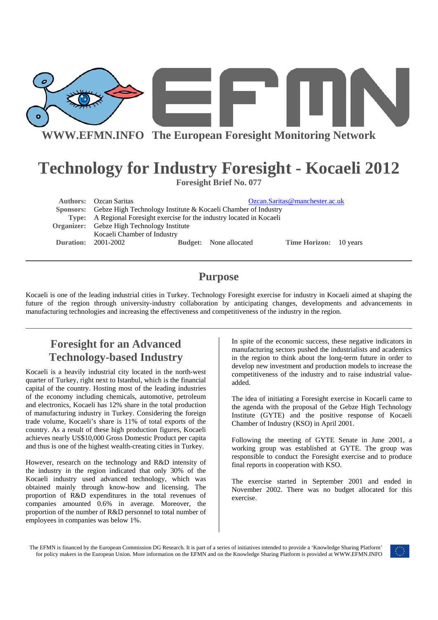

# **Technology for Industry Foresight - Kocaeli 2012**

**Foresight Brief No. 077** 

| <b>Authors:</b> Ozcan Saritas                                           |                               | Ozcan.Saritas@manchester.ac.uk |  |
|-------------------------------------------------------------------------|-------------------------------|--------------------------------|--|
| Sponsors: Gebze High Technology Institute & Kocaeli Chamber of Industry |                               |                                |  |
| Type: A Regional Foresight exercise for the industry located in Kocaeli |                               |                                |  |
| <b>Organizer:</b> Gebze High Technology Institute                       |                               |                                |  |
| Kocaeli Chamber of Industry                                             |                               |                                |  |
| <b>Duration: 2001-2002</b>                                              | <b>Budget:</b> None allocated | Time Horizon: 10 years         |  |

# **Purpose**

Kocaeli is one of the leading industrial cities in Turkey. Technology Foresight exercise for industry in Kocaeli aimed at shaping the future of the region through university-industry collaboration by anticipating changes, developments and advancements in manufacturing technologies and increasing the effectiveness and competitiveness of the industry in the region.

# **Foresight for an Advanced Technology-based Industry**

Kocaeli is a heavily industrial city located in the north-west quarter of Turkey, right next to Istanbul, which is the financial capital of the country. Hosting most of the leading industries of the economy including chemicals, automotive, petroleum and electronics, Kocaeli has 12% share in the total production of manufacturing industry in Turkey. Considering the foreign trade volume, Kocaeli's share is 11% of total exports of the country. As a result of these high production figures, Kocaeli achieves nearly US\$10,000 Gross Domestic Product per capita and thus is one of the highest wealth-creating cities in Turkey.

However, research on the technology and R&D intensity of the industry in the region indicated that only 30% of the Kocaeli industry used advanced technology, which was obtained mainly through know-how and licensing. The proportion of R&D expenditures in the total revenues of companies amounted 0.6% in average. Moreover, the proportion of the number of R&D personnel to total number of employees in companies was below 1%.

In spite of the economic success, these negative indicators in manufacturing sectors pushed the industrialists and academics in the region to think about the long-term future in order to develop new investment and production models to increase the competitiveness of the industry and to raise industrial valueadded.

The idea of initiating a Foresight exercise in Kocaeli came to the agenda with the proposal of the Gebze High Technology Institute (GYTE) and the positive response of Kocaeli Chamber of Industry (KSO) in April 2001.

Following the meeting of GYTE Senate in June 2001, a working group was established at GYTE. The group was responsible to conduct the Foresight exercise and to produce final reports in cooperation with KSO.

The exercise started in September 2001 and ended in November 2002. There was no budget allocated for this exercise.

The EFMN is financed by the European Commission DG Research. It is part of a series of initiatives intended to provide a 'Knowledge Sharing Platform' for policy makers in the European Union. More information on the EFMN and on the Knowledge Sharing Platform is provided at WWW.EFMN.INFO

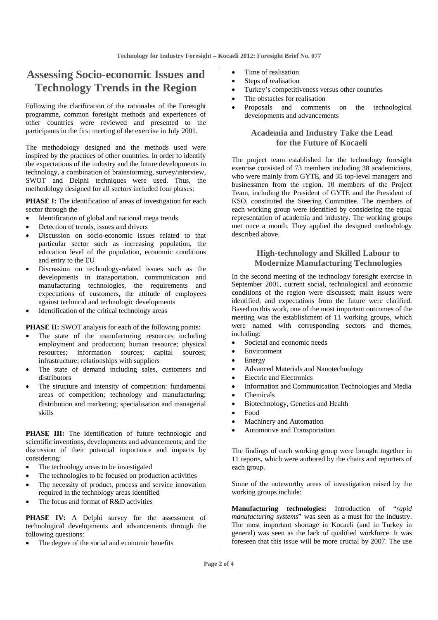### **Assessing Socio-economic Issues and Technology Trends in the Region**

Following the clarification of the rationales of the Foresight programme, common foresight methods and experiences of other countries were reviewed and presented to the participants in the first meeting of the exercise in July 2001.

The methodology designed and the methods used were inspired by the practices of other countries. In order to identify the expectations of the industry and the future developments in technology, a combination of brainstorming, survey/interview, SWOT and Delphi techniques were used. Thus, the methodology designed for all sectors included four phases:

PHASE I: The identification of areas of investigation for each sector through the

- Identification of global and national mega trends
- Detection of trends, issues and drivers
- Discussion on socio-economic issues related to that particular sector such as increasing population, the education level of the population, economic conditions and entry to the EU
- Discussion on technology-related issues such as the developments in transportation, communication and manufacturing technologies, the requirements and expectations of customers, the attitude of employees against technical and technologic developments
- Identification of the critical technology areas

**PHASE II:** SWOT analysis for each of the following points:

- The state of the manufacturing resources including employment and production; human resource; physical resources; information sources; capital sources; infrastructure; relationships with suppliers
- The state of demand including sales, customers and distributors
- The structure and intensity of competition: fundamental areas of competition; technology and manufacturing; distribution and marketing; specialisation and managerial skills

**PHASE III:** The identification of future technologic and scientific inventions, developments and advancements; and the discussion of their potential importance and impacts by considering:

- The technology areas to be investigated
- The technologies to be focused on production activities
- The necessity of product, process and service innovation required in the technology areas identified
- The focus and format of R&D activities

PHASE IV: A Delphi survey for the assessment of technological developments and advancements through the following questions:

The degree of the social and economic benefits

- Time of realisation
- Steps of realisation
- Turkey's competitiveness versus other countries
- The obstacles for realisation
- Proposals and comments on the technological developments and advancements

#### **Academia and Industry Take the Lead for the Future of Kocaeli**

The project team established for the technology foresight exercise consisted of 73 members including 38 academicians, who were mainly from GYTE, and 35 top-level managers and businessmen from the region. 10 members of the Project Team, including the President of GYTE and the President of KSO, constituted the Steering Committee. The members of each working group were identified by considering the equal representation of academia and industry. The working groups met once a month. They applied the designed methodology described above.

#### **High-technology and Skilled Labour to Modernize Manufacturing Technologies**

In the second meeting of the technology foresight exercise in September 2001, current social, technological and economic conditions of the region were discussed; main issues were identified; and expectations from the future were clarified. Based on this work, one of the most important outcomes of the meeting was the establishment of 11 working groups, which were named with corresponding sectors and themes, including:

- Societal and economic needs
- **Environment**
- **Energy**
- Advanced Materials and Nanotechnology
- Electric and Electronics
- Information and Communication Technologies and Media
- Chemicals
- Biotechnology, Genetics and Health
- Food
- Machinery and Automation
- Automotive and Transportation

The findings of each working group were brought together in 11 reports, which were authored by the chairs and reporters of each group.

Some of the noteworthy areas of investigation raised by the working groups include:

**Manufacturing technologies:** Introduction of "*rapid manufacturing systems*" was seen as a must for the industry. The most important shortage in Kocaeli (and in Turkey in general) was seen as the lack of qualified workforce. It was foreseen that this issue will be more crucial by 2007. The use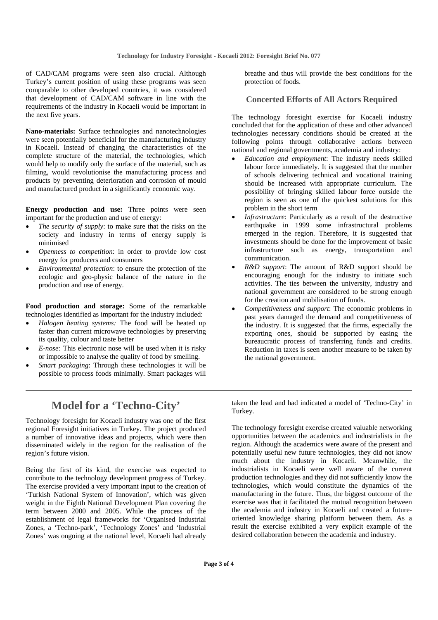of CAD/CAM programs were seen also crucial. Although Turkey's current position of using these programs was seen comparable to other developed countries, it was considered that development of CAD/CAM software in line with the requirements of the industry in Kocaeli would be important in the next five years.

**Nano-materials:** Surface technologies and nanotechnologies were seen potentially beneficial for the manufacturing industry in Kocaeli. Instead of changing the characteristics of the complete structure of the material, the technologies, which would help to modify only the surface of the material, such as filming, would revolutionise the manufacturing process and products by preventing deterioration and corrosion of mould and manufactured product in a significantly economic way.

**Energy production and use:** Three points were seen important for the production and use of energy:

- The security of supply: to make sure that the risks on the society and industry in terms of energy supply is minimised
- *Openness to competition*: in order to provide low cost energy for producers and consumers
- *Environmental protection*: to ensure the protection of the ecologic and geo-physic balance of the nature in the production and use of energy.

**Food production and storage:** Some of the remarkable technologies identified as important for the industry included:

- *Halogen heating systems:* The food will be heated up faster than current microwave technologies by preserving its quality, colour and taste better
- *E-nose:* This electronic nose will be used when it is risky or impossible to analyse the quality of food by smelling.
- *Smart packaging*: Through these technologies it will be possible to process foods minimally. Smart packages will

# **Model for a 'Techno-City'**

Technology foresight for Kocaeli industry was one of the first regional Foresight initiatives in Turkey. The project produced a number of innovative ideas and projects, which were then disseminated widely in the region for the realisation of the region's future vision.

Being the first of its kind, the exercise was expected to contribute to the technology development progress of Turkey. The exercise provided a very important input to the creation of 'Turkish National System of Innovation', which was given weight in the Eighth National Development Plan covering the term between 2000 and 2005. While the process of the establishment of legal frameworks for 'Organised Industrial Zones, a 'Techno-park', 'Technology Zones' and 'Industrial Zones' was ongoing at the national level, Kocaeli had already breathe and thus will provide the best conditions for the protection of foods.

#### **Concerted Efforts of All Actors Required**

The technology foresight exercise for Kocaeli industry concluded that for the application of these and other advanced technologies necessary conditions should be created at the following points through collaborative actions between national and regional governments, academia and industry:

- *Education and employment*: The industry needs skilled labour force immediately. It is suggested that the number of schools delivering technical and vocational training should be increased with appropriate curriculum. The possibility of bringing skilled labour force outside the region is seen as one of the quickest solutions for this problem in the short term
- *Infrastructure*: Particularly as a result of the destructive earthquake in 1999 some infrastructural problems emerged in the region. Therefore, it is suggested that investments should be done for the improvement of basic infrastructure such as energy, transportation and communication.
- *R&D support*: The amount of R&D support should be encouraging enough for the industry to initiate such activities. The ties between the university, industry and national government are considered to be strong enough for the creation and mobilisation of funds.
- *Competitiveness and support*: The economic problems in past years damaged the demand and competitiveness of the industry. It is suggested that the firms, especially the exporting ones, should be supported by easing the bureaucratic process of transferring funds and credits. Reduction in taxes is seen another measure to be taken by the national government.

taken the lead and had indicated a model of 'Techno-City' in Turkey.

The technology foresight exercise created valuable networking opportunities between the academics and industrialists in the region. Although the academics were aware of the present and potentially useful new future technologies, they did not know much about the industry in Kocaeli. Meanwhile, the industrialists in Kocaeli were well aware of the current production technologies and they did not sufficiently know the technologies, which would constitute the dynamics of the manufacturing in the future. Thus, the biggest outcome of the exercise was that it facilitated the mutual recognition between the academia and industry in Kocaeli and created a futureoriented knowledge sharing platform between them. As a result the exercise exhibited a very explicit example of the desired collaboration between the academia and industry.